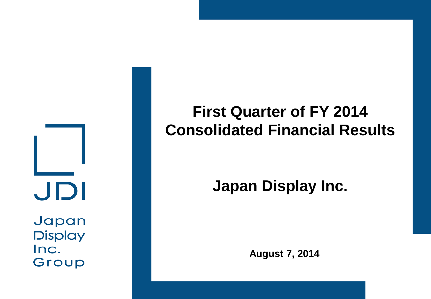JDI Japan

**Display** Inc. Group

# **First Quarter of FY 2014 Consolidated Financial Results**

# **Japan Display Inc.**

**August 7, 2014**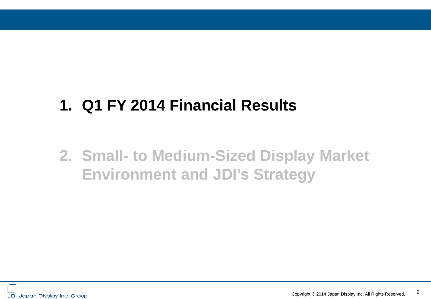# **1. Q1 FY 2014 Financial Results**

# **2. Small- to Medium-Sized Display Market Environment and JDI's Strategy**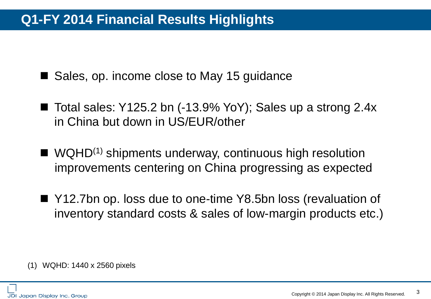# **Q1-FY 2014 Financial Results Highlights**

■ Sales, op. income close to May 15 guidance

- Total sales: Y125.2 bn  $(-13.9\%$  YoY); Sales up a strong 2.4x in China but down in US/EUR/other
- $\blacksquare$  WQHD<sup>(1)</sup> shipments underway, continuous high resolution improvements centering on China progressing as expected
- Y12.7bn op. loss due to one-time Y8.5bn loss (revaluation of inventory standard costs & sales of low-margin products etc.)

(1) WQHD: 1440 x 2560 pixels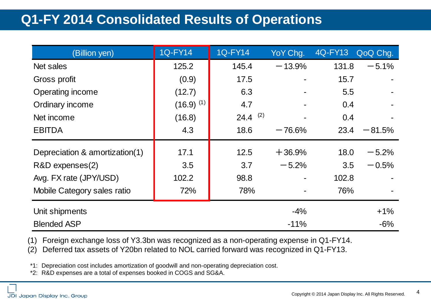# **Q1-FY 2014 Consolidated Results of Operations**

| (Billion yen)                  | <b>1Q-FY14</b> | <b>1Q-FY14</b><br>YoY Chg. |          | 4Q-FY13 | QoQ Chg. |
|--------------------------------|----------------|----------------------------|----------|---------|----------|
| Net sales                      | 125.2          | 145.4                      | $-13.9%$ | 131.8   | $-5.1%$  |
| Gross profit                   | (0.9)          | 17.5                       |          | 15.7    |          |
| Operating income               | (12.7)         | 6.3                        |          | 5.5     |          |
| Ordinary income                | $(16.9)^{(1)}$ | 4.7                        |          |         |          |
| Net income                     | (16.8)         | 24.4 $(2)$                 |          | 0.4     |          |
| <b>EBITDA</b>                  | 4.3            | 18.6                       | $-76.6%$ | 23.4    | $-81.5%$ |
| Depreciation & amortization(1) | 17.1           | 12.5                       | $+36.9%$ | 18.0    | $-5.2%$  |
| R&D expenses(2)                | 3.5            | 3.7                        | $-5.2%$  | 3.5     | $-0.5%$  |
| Avg. FX rate (JPY/USD)         | 102.2          | 98.8                       |          | 102.8   |          |
| Mobile Category sales ratio    | 72%            | 78%                        |          | 76%     |          |
| Unit shipments                 |                |                            | $-4%$    |         | $+1%$    |
| <b>Blended ASP</b>             |                |                            | $-11%$   |         | $-6%$    |

(1) Foreign exchange loss of Y3.3bn was recognized as a non-operating expense in Q1-FY14.

(2) Deferred tax assets of Y20bn related to NOL carried forward was recognized in Q1-FY13.

\*1: Depreciation cost includes amortization of goodwill and non-operating depreciation cost.

\*2: R&D expenses are a total of expenses booked in COGS and SG&A.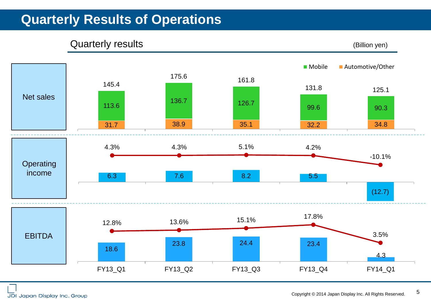# **Quarterly Results of Operations**

#### Quarterly results (Billion yen)

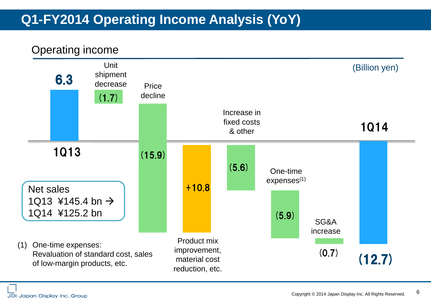# **Q1-FY2014 Operating Income Analysis (YoY)**



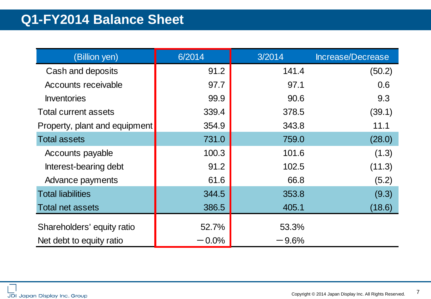## **Q1-FY2014 Balance Sheet**

| (Billion yen)                 | 6/2014   | 3/2014   | Increase/Decrease |
|-------------------------------|----------|----------|-------------------|
| Cash and deposits             | 91.2     | 141.4    | (50.2)            |
| Accounts receivable           | 97.7     | 97.1     | 0.6               |
| <b>Inventories</b>            | 99.9     | 90.6     | 9.3               |
| <b>Total current assets</b>   | 339.4    | 378.5    | (39.1)            |
| Property, plant and equipment | 354.9    | 343.8    | 11.1              |
| <b>Total assets</b>           | 731.0    | 759.0    | (28.0)            |
| Accounts payable              | 100.3    | 101.6    | (1.3)             |
| Interest-bearing debt         | 91.2     | 102.5    | (11.3)            |
| Advance payments              | 61.6     | 66.8     | (5.2)             |
| <b>Total liabilities</b>      | 344.5    | 353.8    | (9.3)             |
| <b>Total net assets</b>       | 386.5    | 405.1    | (18.6)            |
| Shareholders' equity ratio    | 52.7%    | 53.3%    |                   |
| Net debt to equity ratio      | $-0.0\%$ | $-9.6\%$ |                   |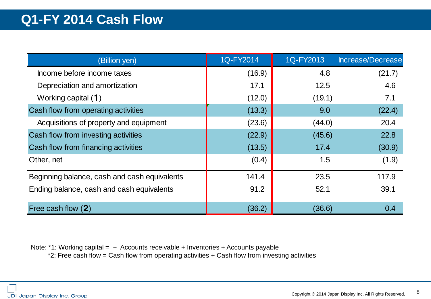| (Billion yen)                                | 1Q-FY2014 | 1Q-FY2013 | Increase/Decrease |
|----------------------------------------------|-----------|-----------|-------------------|
| Income before income taxes                   | (16.9)    | 4.8       | (21.7)            |
| Depreciation and amortization                | 17.1      | 12.5      | 4.6               |
| Working capital $(1)$                        | (12.0)    | (19.1)    | 7.1               |
| Cash flow from operating activities          | (13.3)    | 9.0       | (22.4)            |
| Acquisitions of property and equipment       | (23.6)    | (44.0)    | 20.4              |
| Cash flow from investing activities          | (22.9)    | (45.6)    | 22.8              |
| Cash flow from financing activities          | (13.5)    | 17.4      | (30.9)            |
| Other, net                                   | (0.4)     | 1.5       | (1.9)             |
| Beginning balance, cash and cash equivalents | 141.4     | 23.5      | 117.9             |
| Ending balance, cash and cash equivalents    | 91.2      | 52.1      | 39.1              |
| Free cash flow (2)                           | (36.2)    | (36.6)    | 0.4               |

Note: \*1: Working capital = + Accounts receivable + Inventories + Accounts payable

\*2: Free cash flow = Cash flow from operating activities + Cash flow from investing activities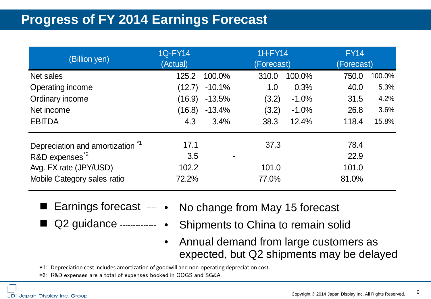# **Progress of FY 2014 Earnings Forecast**

| (Billion yen)                              | <b>1Q-FY14</b><br>(Actual) |          | 1H-FY14<br>(Forecast) |          | <b>FY14</b><br>(Forecast) |        |
|--------------------------------------------|----------------------------|----------|-----------------------|----------|---------------------------|--------|
| Net sales                                  | 125.2                      | 100.0%   | 310.0                 | 100.0%   | 750.0                     | 100.0% |
| Operating income                           | (12.7)                     | $-10.1%$ | 1.0                   | 0.3%     | 40.0                      | 5.3%   |
| Ordinary income                            | (16.9)                     | $-13.5%$ | (3.2)                 | $-1.0%$  | 31.5                      | 4.2%   |
| Net income                                 | (16.8)                     | $-13.4%$ | (3.2)                 | $-1.0\%$ | 26.8                      | 3.6%   |
| <b>EBITDA</b>                              | 4.3                        | 3.4%     | 38.3                  | 12.4%    | 118.4                     | 15.8%  |
| Depreciation and amortization <sup>1</sup> | 17.1                       |          | 37.3                  |          | 78.4                      |        |
| R&D expenses <sup>2</sup>                  | 3.5                        |          |                       |          | 22.9                      |        |
| Avg. FX rate (JPY/USD)                     | 102.2                      |          | 101.0                 |          | 101.0                     |        |
| Mobile Category sales ratio                | 72.2%                      |          | 77.0%                 |          | 81.0%                     |        |

- 
- Earnings forecast --- No change from May 15 forecast
- Q2 guidance -------------
	- Shipments to China to remain solid
	- Annual demand from large customers as expected, but Q2 shipments may be delayed

\*1: Depreciation cost includes amortization of goodwill and non-operating depreciation cost.

\*2: R&D expenses are a total of expenses booked in COGS and SG&A.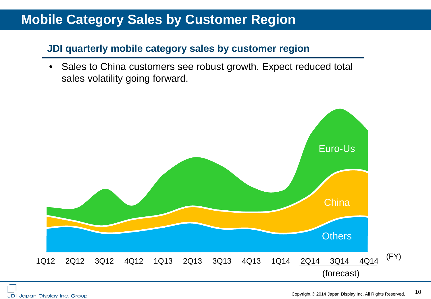### **Mobile Category Sales by Customer Region**

### **JDI quarterly mobile category sales by customer region**

• Sales to China customers see robust growth. Expect reduced total sales volatility going forward.

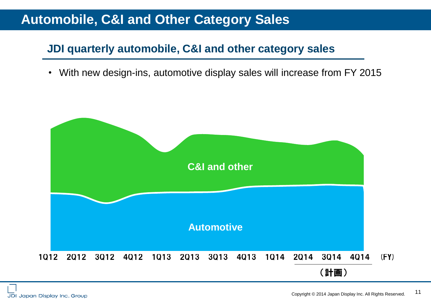### **Automobile, C&I and Other Category Sales**

### **JDI quarterly automobile, C&I and other category sales**

・ With new design-ins, automotive display sales will increase from FY 2015

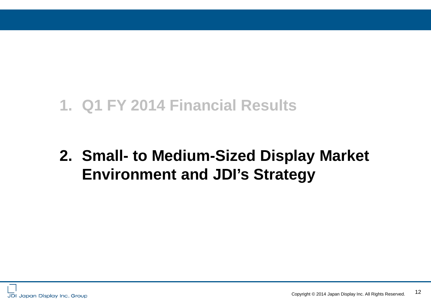# **1. Q1 FY 2014 Financial Results**

# **2. Small- to Medium-Sized Display Market Environment and JDI's Strategy**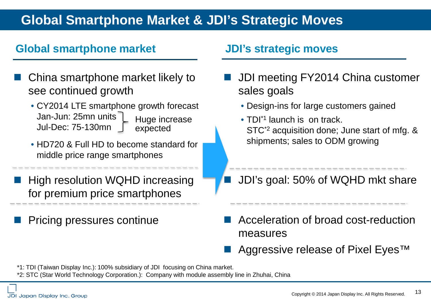# **Global Smartphone Market & JDI's Strategic Moves**

### **Global smartphone market JDI's strategic moves**

- China smartphone market likely to see continued growth
	- CY2014 LTE smartphone growth forecast Jan-Jun: 25mn units Jul-Dec: 75-130mn Huge increase expected
	- HD720 & Full HD to become standard for middle price range smartphones
- High resolution WQHD increasing for premium price smartphones
	- Pricing pressures continue

- JDI meeting FY2014 China customer sales goals
	- Design-ins for large customers gained
	- TDI<sup>\*1</sup> launch is on track. STC\*2 acquisition done; June start of mfg. & shipments; sales to ODM growing
	- JDI's goal: 50% of WQHD mkt share
- Acceleration of broad cost-reduction measures
- Aggressive release of Pixel Eyes<sup>™</sup>
- \*1: TDI (Taiwan Display Inc.): 100% subsidiary of JDI focusing on China market.
- \*2: STC (Star World Technology Corporation.): Company with module assembly line in Zhuhai, China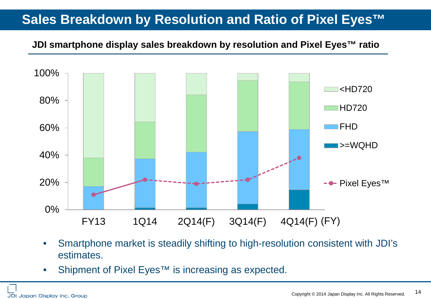# **Sales Breakdown by Resolution and Ratio of Pixel Eyes™**

#### **JDI smartphone display sales breakdown by resolution and Pixel Eyes™ ratio**



- Smartphone market is steadily shifting to high-resolution consistent with JDI's estimates.
- Shipment of Pixel Eyes<sup>™</sup> is increasing as expected.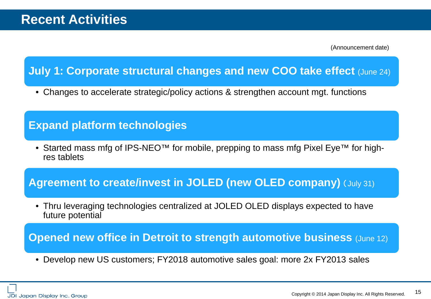(Announcement date)

### **July 1: Corporate structural changes and new COO take effect (June 24)**

• Changes to accelerate strategic/policy actions & strengthen account mgt. functions

### **Expand platform technologies**

• Started mass mfg of IPS-NEO™ for mobile, prepping to mass mfg Pixel Eye<sup>™</sup> for highres tablets

### **Agreement to create/invest in JOLED (new OLED company)** (July 31)

• Thru leveraging technologies centralized at JOLED OLED displays expected to have future potential

#### **Opened new office in Detroit to strength automotive business (June 12)**

• Develop new US customers; FY2018 automotive sales goal: more 2x FY2013 sales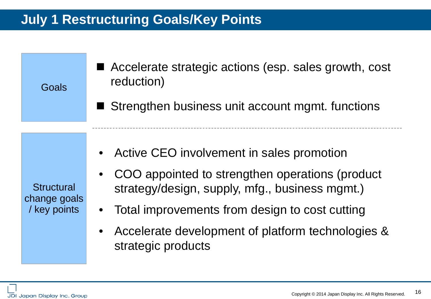# **July 1 Restructuring Goals/Key Points**

**Goals** 

- Accelerate strategic actions (esp. sales growth, cost reduction)
- Strengthen business unit account mgmt. functions

**Structural** change goals / key points

- Active CEO involvement in sales promotion
- COO appointed to strengthen operations (product strategy/design, supply, mfg., business mgmt.)
- Total improvements from design to cost cutting
- Accelerate development of platform technologies & strategic products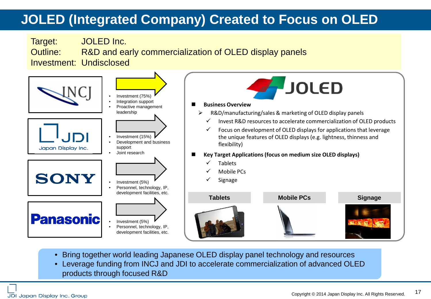# **JOLED (Integrated Company) Created to Focus on OLED**



- Bring together world leading Japanese OLED display panel technology and resources
- Leverage funding from INCJ and JDI to accelerate commercialization of advanced OLED products through focused R&D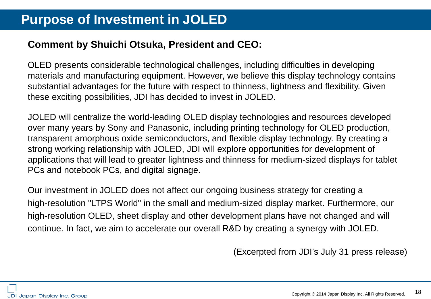### **Comment by Shuichi Otsuka, President and CEO:**

OLED presents considerable technological challenges, including difficulties in developing materials and manufacturing equipment. However, we believe this display technology contains substantial advantages for the future with respect to thinness, lightness and flexibility. Given these exciting possibilities, JDI has decided to invest in JOLED.

JOLED will centralize the world-leading OLED display technologies and resources developed over many years by Sony and Panasonic, including printing technology for OLED production, transparent amorphous oxide semiconductors, and flexible display technology. By creating a strong working relationship with JOLED, JDI will explore opportunities for development of applications that will lead to greater lightness and thinness for medium-sized displays for tablet PCs and notebook PCs, and digital signage.

Our investment in JOLED does not affect our ongoing business strategy for creating a high-resolution "LTPS World" in the small and medium-sized display market. Furthermore, our high-resolution OLED, sheet display and other development plans have not changed and will continue. In fact, we aim to accelerate our overall R&D by creating a synergy with JOLED.

(Excerpted from JDI's July 31 press release)